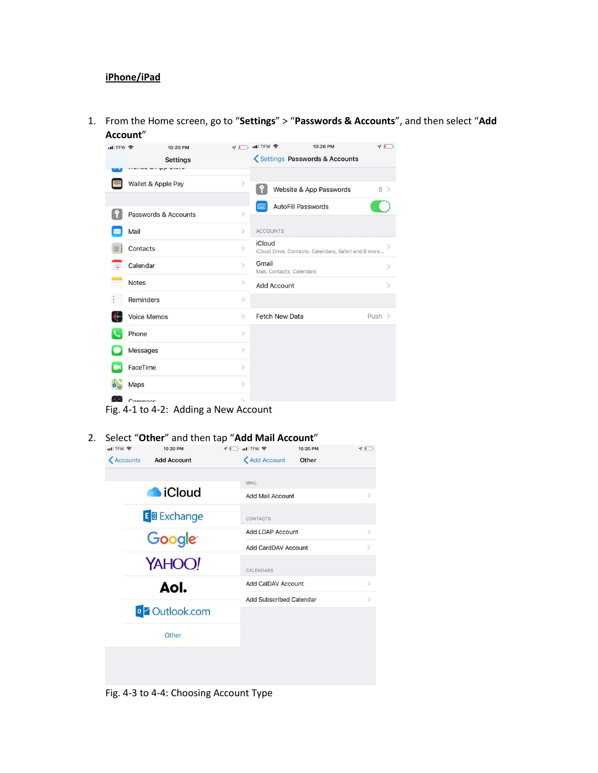## **iPhone/iPad**

1. From the Home screen, go to "**Settings**" > "**Passwords & Accounts**", and then select "**Add Account**"

| $\blacksquare$ TFW $\widehat{\mathcal{F}}$ |                          | 10:20 PM        | 7                                                   | $nI$ TFW                                                       | 10:20 PM                      | 70                           |
|--------------------------------------------|--------------------------|-----------------|-----------------------------------------------------|----------------------------------------------------------------|-------------------------------|------------------------------|
|                                            |                          | <b>Settings</b> |                                                     |                                                                | Settings Passwords & Accounts |                              |
|                                            |                          |                 |                                                     |                                                                |                               |                              |
|                                            | Wallet & Apple Pay       |                 | $\rightarrow$                                       |                                                                | Website & App Passwords       | 8 >                          |
|                                            |                          |                 |                                                     | ■                                                              | <b>AutoFill Passwords</b>     |                              |
|                                            | Passwords & Accounts     |                 | $\left\langle \right\rangle$                        |                                                                |                               |                              |
|                                            | Mail<br>$\left( \right)$ |                 | <b>ACCOUNTS</b>                                     |                                                                |                               |                              |
|                                            | Contacts                 |                 |                                                     | iCloud<br>iCloud Drive, Contacts, Calendars, Safari and 8 more |                               |                              |
|                                            | Calendar                 |                 | Gmail<br>$\rightarrow$<br>Mail, Contacts, Calendars |                                                                |                               | $\left\langle \right\rangle$ |
|                                            | Notes                    |                 | $\geq$                                              | <b>Add Account</b>                                             |                               | $\mathcal{P}$                |
|                                            | Reminders                |                 | $\left\langle \right\rangle$                        |                                                                |                               |                              |
|                                            | Voice Memos              |                 | $\geq$                                              | <b>Fetch New Data</b>                                          |                               | Push $>$                     |
|                                            | Phone                    |                 | $\geq$                                              |                                                                |                               |                              |
|                                            | Messages                 |                 | $\geq$                                              |                                                                |                               |                              |
|                                            | FaceTime                 |                 | $\left\langle \right\rangle$                        |                                                                |                               |                              |
|                                            | Maps                     |                 | $\left\langle \right\rangle$                        |                                                                |                               |                              |
| (4, 1)                                     | Compacc                  |                 | $\scriptstyle\!\!\!\!\!\sim$                        |                                                                |                               |                              |

Fig. 4-1 to 4-2: Adding a New Account

2. Select "Other" and then tap "Add Mail Account"<br> **All TEW**  $\approx$  10:20 PM  $\sqrt{D}$ <Accounts Add Account <Add Account Other MAIL **SiCloud** Add Mail Account E 图 Exchange CONTACTS Add LDAP Account Google Add CardDAV Account  $\mathcal{L}_{\mathcal{L}}$ YAHOO! CALENDARS Add CalDAV Account  $\overline{ }$ Aol. **Add Subscribed Calendar**  $\overline{ }$ o<sup>v</sup> Outlook.com Other

Fig. 4-3 to 4-4: Choosing Account Type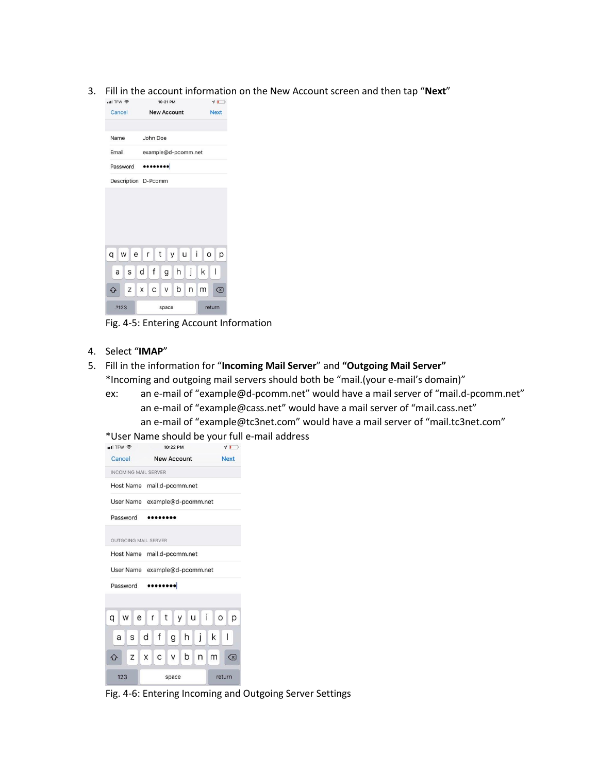3. Fill in the account information on the New Account screen and then tap "**Next**"



Fig. 4-5: Entering Account Information

4. Select "**IMAP**"

## 5. Fill in the information for "**Incoming Mail Server**" and **"Outgoing Mail Server"** \*Incoming and outgoing mail servers should both be "mail.(your e-mail's domain)"

ex: an e-mail of "example@d-pcomm.net" would have a mail server of "mail.d-pcomm.net" an e-mail of "example@cass.net" would have a mail server of "mail.cass.net" an e-mail of "example@tc3net.com" would have a mail server of "mail.tc3net.com"

\*User Name should be your full e-mail address



Fig. 4-6: Entering Incoming and Outgoing Server Settings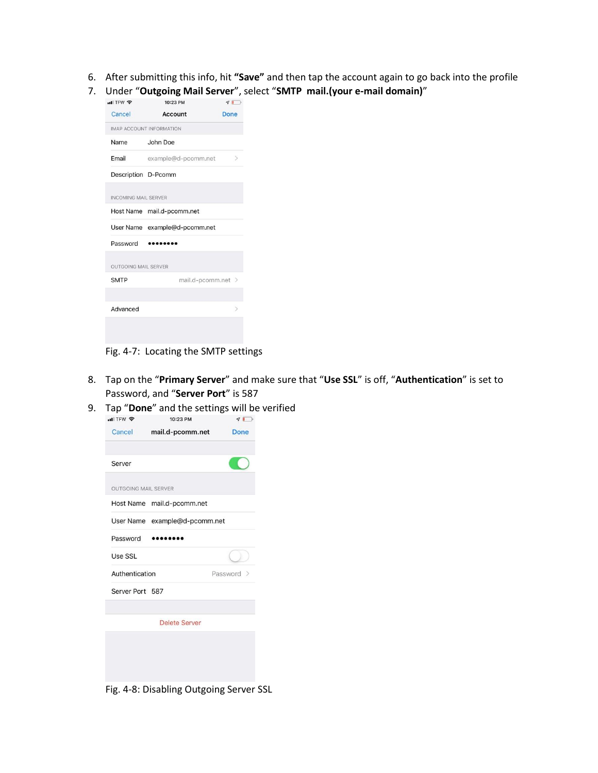- 6. After submitting this info, hit **"Save"** and then tap the account again to go back into the profile
- 7. Under "**Outgoing Mail Server**", select "**SMTP mail.(your e-mail domain)**"

| $H$ TFW                     | 10:23 PM                        | $7\Box$       |  |  |  |
|-----------------------------|---------------------------------|---------------|--|--|--|
| Cancel                      | Account                         | <b>Done</b>   |  |  |  |
|                             | <b>IMAP ACCOUNT INFORMATION</b> |               |  |  |  |
| Name                        | John Doe                        |               |  |  |  |
| Email                       | example@d-pcomm.net             | $\rightarrow$ |  |  |  |
| Description D-Pcomm         |                                 |               |  |  |  |
| <b>INCOMING MAIL SERVER</b> |                                 |               |  |  |  |
|                             | Host Name mail.d-pcomm.net      |               |  |  |  |
|                             | User Name example@d-pcomm.net   |               |  |  |  |
| Password                    | .                               |               |  |  |  |
| <b>OUTGOING MAIL SERVER</b> |                                 |               |  |  |  |
|                             |                                 |               |  |  |  |
| <b>SMTP</b>                 | mail.d-pcomm.net >              |               |  |  |  |
|                             |                                 |               |  |  |  |

Fig. 4-7: Locating the SMTP settings

- 8. Tap on the "**Primary Server**" and make sure that "**Use SSL**" is off, "**Authentication**" is set to Password, and "**Server Port**" is 587
- 9. Tap "**Done**" and the settings will be verified<br> $\frac{1}{2}$   $\frac{1}{2}$   $\frac{1}{2}$   $\frac{1}{2}$



Fig. 4-8: Disabling Outgoing Server SSL